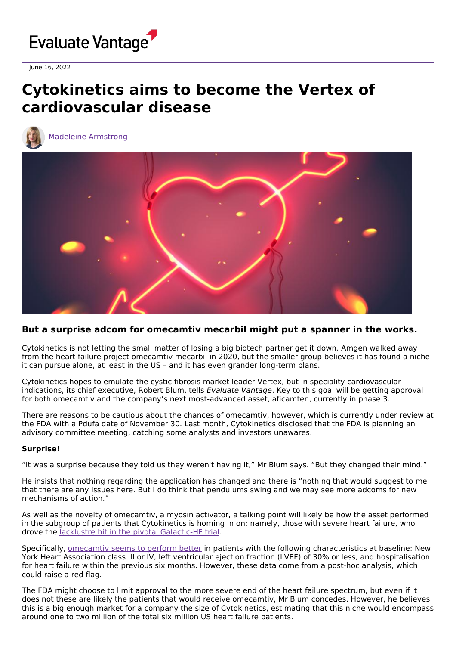

June 16, 2022

# **Cytokinetics aims to become the Vertex of cardiovascular disease**

Madeleine [Armstrong](https://www.evaluate.com/vantage/editorial-team/madeleine-armstrong)



# **But a surprise adcom for omecamtiv mecarbil might put a spanner in the works.**

Cytokinetics is not letting the small matter of losing a big biotech partner get it down. Amgen walked away from the heart failure project omecamtiv mecarbil in 2020, but the smaller group believes it has found a niche it can pursue alone, at least in the US – and it has even grander long-term plans.

Cytokinetics hopes to emulate the cystic fibrosis market leader Vertex, but in speciality cardiovascular indications, its chief executive, Robert Blum, tells Evaluate Vantage. Key to this goal will be getting approval for both omecamtiv and the company's next most-advanced asset, aficamten, currently in phase 3.

There are reasons to be cautious about the chances of omecamtiv, however, which is currently under review at the FDA with a Pdufa date of November 30. Last month, Cytokinetics disclosed that the FDA is planning an advisory committee meeting, catching some analysts and investors unawares.

## **Surprise!**

"It was a surprise because they told us they weren't having it," Mr Blum says. "But they changed their mind."

He insists that nothing regarding the application has changed and there is "nothing that would suggest to me that there are any issues here. But I do think that pendulums swing and we may see more adcoms for new mechanisms of action."

As well as the novelty of omecamtiv, a myosin activator, a talking point will likely be how the asset performed in the subgroup of patients that Cytokinetics is homing in on; namely, those with severe heart failure, who drove the lacklustre hit in the pivotal [Galactic-HF](https://www.evaluate.com/vantage/articles/news/trial-results/primary-omecamtiv-win-not-enough) trial.

Specifically, [omecamtiv](https://pubmed.ncbi.nlm.nih.gov/34643642/) seems to perform better in patients with the following characteristics at baseline: New York Heart Association class III or IV, left ventricular ejection fraction (LVEF) of 30% or less, and hospitalisation for heart failure within the previous six months. However, these data come from a post-hoc analysis, which could raise a red flag.

The FDA might choose to limit approval to the more severe end of the heart failure spectrum, but even if it does not these are likely the patients that would receive omecamtiv, Mr Blum concedes. However, he believes this is a big enough market for a company the size of Cytokinetics, estimating that this niche would encompass around one to two million of the total six million US heart failure patients.